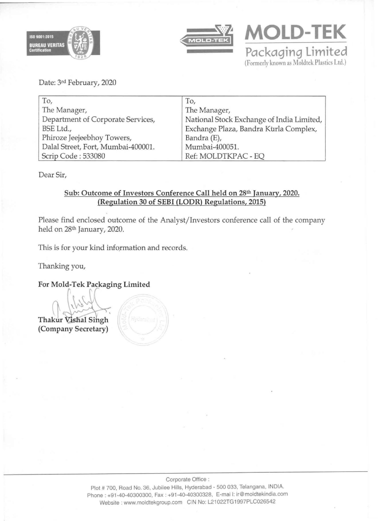



**MOLO-TEK Packaging Limited**  (Fonnerly known as Moldtek Plastics Ltd.)

Date: 3rd February, 2020

| To,                                | To,                                       |
|------------------------------------|-------------------------------------------|
| The Manager,                       | The Manager,                              |
| Department of Corporate Services,  | National Stock Exchange of India Limited, |
| BSE Ltd.,                          | Exchange Plaza, Bandra Kurla Complex,     |
| Phiroze Jeejeebhoy Towers,         | Bandra (E),                               |
| Dalal Street, Fort, Mumbai-400001. | Mumbai-400051.                            |
| Scrip Code: 533080                 | Ref: MOLDTKPAC - EQ                       |

Dear Sir,

#### Sub: Outcome of Investors Conference Call held on 28th January, 2020. (Regulation 30 of SEBI (LODR) Regulations, 2015)

Please find enclosed outcome of the Analyst/Investors conference call of the company held on 28th January, 2020.

This is for your kind information and records.

Thanking you,

For Mold-Tek Packaging Limited

Thakur Vishal Singh (Company Secretary)

Corporate Office:

Plot # 700, Road No. 36, Jubilee Hills, Hyderabad - 500 033, Telangana, INDIA. Phone: +91-40·40300300, Fax : +91-40-40300328. E-mai I: ir@moldtekindia.com Website: www.moldtekgroup.com CIN No: L21022TG1997PLC026542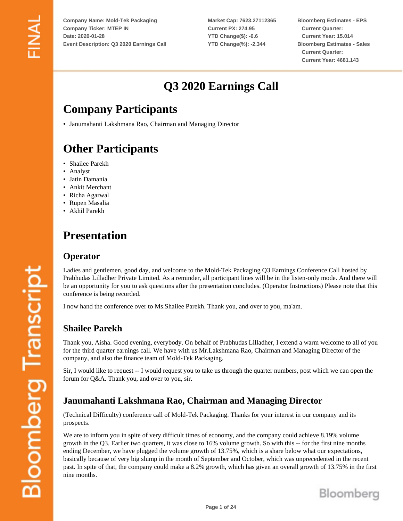**Market Cap: 7623.27112365 Current PX: 274.95 YTD Change(\$): -6.6 YTD Change(%): -2.344**

**Bloomberg Estimates - EPS Current Quarter: Current Year: 15.014 Bloomberg Estimates - Sales Current Quarter: Current Year: 4681.143**

# **Q3 2020 Earnings Call**

# **Company Participants**

• Janumahanti Lakshmana Rao, Chairman and Managing Director

# **Other Participants**

- Shailee Parekh
- Analyst
- Jatin Damania
- Ankit Merchant
- Richa Agarwal
- Rupen Masalia
- Akhil Parekh

# **Presentation**

#### **Operator**

Ladies and gentlemen, good day, and welcome to the Mold-Tek Packaging Q3 Earnings Conference Call hosted by Prabhudas Lilladher Private Limited. As a reminder, all participant lines will be in the listen-only mode. And there will be an opportunity for you to ask questions after the presentation concludes. (Operator Instructions) Please note that this conference is being recorded.

I now hand the conference over to Ms.Shailee Parekh. Thank you, and over to you, ma'am.

# **Shailee Parekh**

Thank you, Aisha. Good evening, everybody. On behalf of Prabhudas Lilladher, I extend a warm welcome to all of you for the third quarter earnings call. We have with us Mr.Lakshmana Rao, Chairman and Managing Director of the company, and also the finance team of Mold-Tek Packaging.

Sir, I would like to request -- I would request you to take us through the quarter numbers, post which we can open the forum for Q&A. Thank you, and over to you, sir.

# **Janumahanti Lakshmana Rao, Chairman and Managing Director**

(Technical Difficulty) conference call of Mold-Tek Packaging. Thanks for your interest in our company and its prospects.

We are to inform you in spite of very difficult times of economy, and the company could achieve 8.19% volume growth in the Q3. Earlier two quarters, it was close to 16% volume growth. So with this -- for the first nine months ending December, we have plugged the volume growth of 13.75%, which is a share below what our expectations, basically because of very big slump in the month of September and October, which was unprecedented in the recent past. In spite of that, the company could make a 8.2% growth, which has given an overall growth of 13.75% in the first nine months.

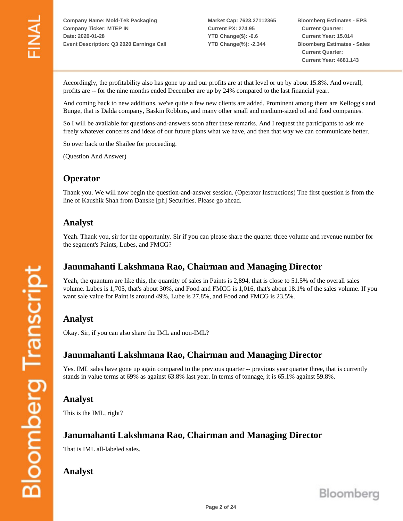**Market Cap: 7623.27112365 Current PX: 274.95 YTD Change(\$): -6.6 YTD Change(%): -2.344**

**Bloomberg Estimates - EPS Current Quarter: Current Year: 15.014 Bloomberg Estimates - Sales Current Quarter: Current Year: 4681.143**

Accordingly, the profitability also has gone up and our profits are at that level or up by about 15.8%. And overall, profits are -- for the nine months ended December are up by 24% compared to the last financial year.

And coming back to new additions, we've quite a few new clients are added. Prominent among them are Kellogg's and Bunge, that is Dalda company, Baskin Robbins, and many other small and medium-sized oil and food companies.

So I will be available for questions-and-answers soon after these remarks. And I request the participants to ask me freely whatever concerns and ideas of our future plans what we have, and then that way we can communicate better.

So over back to the Shailee for proceeding.

(Question And Answer)

## **Operator**

Thank you. We will now begin the question-and-answer session. (Operator Instructions) The first question is from the line of Kaushik Shah from Danske [ph] Securities. Please go ahead.

#### **Analyst**

Yeah. Thank you, sir for the opportunity. Sir if you can please share the quarter three volume and revenue number for the segment's Paints, Lubes, and FMCG?

## **Janumahanti Lakshmana Rao, Chairman and Managing Director**

Yeah, the quantum are like this, the quantity of sales in Paints is 2,894, that is close to 51.5% of the overall sales volume. Lubes is 1,705, that's about 30%, and Food and FMCG is 1,016, that's about 18.1% of the sales volume. If you want sale value for Paint is around 49%, Lube is 27.8%, and Food and FMCG is 23.5%.

#### **Analyst**

Okay. Sir, if you can also share the IML and non-IML?

#### **Janumahanti Lakshmana Rao, Chairman and Managing Director**

Yes. IML sales have gone up again compared to the previous quarter -- previous year quarter three, that is currently stands in value terms at 69% as against 63.8% last year. In terms of tonnage, it is 65.1% against 59.8%.

#### **Analyst**

This is the IML, right?

#### **Janumahanti Lakshmana Rao, Chairman and Managing Director**

That is IML all-labeled sales.

#### **Analyst**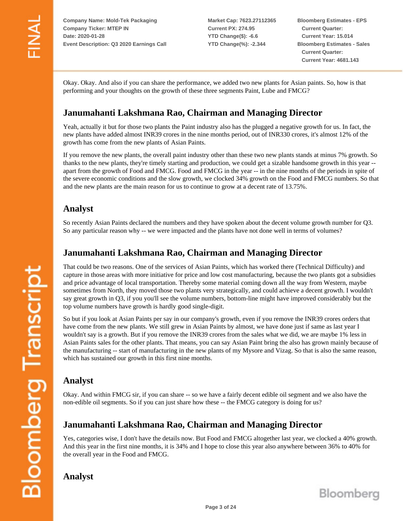**Market Cap: 7623.27112365 Current PX: 274.95 YTD Change(\$): -6.6 YTD Change(%): -2.344**

**Bloomberg Estimates - EPS Current Quarter: Current Year: 15.014 Bloomberg Estimates - Sales Current Quarter: Current Year: 4681.143**

Okay. Okay. And also if you can share the performance, we added two new plants for Asian paints. So, how is that performing and your thoughts on the growth of these three segments Paint, Lube and FMCG?

## **Janumahanti Lakshmana Rao, Chairman and Managing Director**

Yeah, actually it but for those two plants the Paint industry also has the plugged a negative growth for us. In fact, the new plants have added almost INR39 crores in the nine months period, out of INR330 crores, it's almost 12% of the growth has come from the new plants of Asian Paints.

If you remove the new plants, the overall paint industry other than these two new plants stands at minus 7% growth. So thanks to the new plants, they're timely starting and production, we could get a sizable handsome growth in this year - apart from the growth of Food and FMCG. Food and FMCG in the year -- in the nine months of the periods in spite of the severe economic conditions and the slow growth, we clocked 34% growth on the Food and FMCG numbers. So that and the new plants are the main reason for us to continue to grow at a decent rate of 13.75%.

#### **Analyst**

So recently Asian Paints declared the numbers and they have spoken about the decent volume growth number for Q3. So any particular reason why -- we were impacted and the plants have not done well in terms of volumes?

#### **Janumahanti Lakshmana Rao, Chairman and Managing Director**

That could be two reasons. One of the services of Asian Paints, which has worked there (Technical Difficulty) and capture in those areas with more initiative for price and low cost manufacturing, because the two plants got a subsidies and price advantage of local transportation. Thereby some material coming down all the way from Western, maybe sometimes from North, they moved those two plants very strategically, and could achieve a decent growth. I wouldn't say great growth in Q3, if you you'll see the volume numbers, bottom-line might have improved considerably but the top volume numbers have growth is hardly good single-digit.

So but if you look at Asian Paints per say in our company's growth, even if you remove the INR39 crores orders that have come from the new plants. We still grew in Asian Paints by almost, we have done just if same as last year I wouldn't say is a growth. But if you remove the INR39 crores from the sales what we did, we are maybe 1% less in Asian Paints sales for the other plants. That means, you can say Asian Paint bring the also has grown mainly because of the manufacturing -- start of manufacturing in the new plants of my Mysore and Vizag. So that is also the same reason, which has sustained our growth in this first nine months.

## **Analyst**

Okay. And within FMCG sir, if you can share -- so we have a fairly decent edible oil segment and we also have the non-edible oil segments. So if you can just share how these -- the FMCG category is doing for us?

## **Janumahanti Lakshmana Rao, Chairman and Managing Director**

Yes, categories wise, I don't have the details now. But Food and FMCG altogether last year, we clocked a 40% growth. And this year in the first nine months, it is 34% and I hope to close this year also anywhere between 36% to 40% for the overall year in the Food and FMCG.

**Analyst**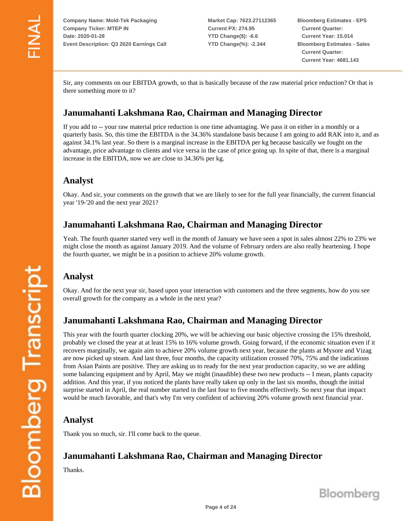**Market Cap: 7623.27112365 Current PX: 274.95 YTD Change(\$): -6.6 YTD Change(%): -2.344**

**Bloomberg Estimates - EPS Current Quarter: Current Year: 15.014 Bloomberg Estimates - Sales Current Quarter: Current Year: 4681.143**

Sir, any comments on our EBITDA growth, so that is basically because of the raw material price reduction? Or that is there something more to it?

## **Janumahanti Lakshmana Rao, Chairman and Managing Director**

If you add to -- your raw material price reduction is one time advantaging. We pass it on either in a monthly or a quarterly basis. So, this time the EBITDA is the 34.36% standalone basis because I am going to add RAK into it, and as against 34.1% last year. So there is a marginal increase in the EBITDA per kg because basically we fought on the advantage, price advantage to clients and vice versa in the case of price going up. In spite of that, there is a marginal increase in the EBITDA, now we are close to 34.36% per kg.

#### **Analyst**

Okay. And sir, your comments on the growth that we are likely to see for the full year financially, the current financial year '19-'20 and the next year 2021?

#### **Janumahanti Lakshmana Rao, Chairman and Managing Director**

Yeah. The fourth quarter started very well in the month of January we have seen a spot in sales almost 22% to 23% we might close the month as against January 2019. And the volume of February orders are also really heartening. I hope the fourth quarter, we might be in a position to achieve 20% volume growth.

# **Analyst**

Okay. And for the next year sir, based upon your interaction with customers and the three segments, how do you see overall growth for the company as a whole in the next year?

## **Janumahanti Lakshmana Rao, Chairman and Managing Director**

This year with the fourth quarter clocking 20%, we will be achieving our basic objective crossing the 15% threshold, probably we closed the year at at least 15% to 16% volume growth. Going forward, if the economic situation even if it recovers marginally, we again aim to achieve 20% volume growth next year, because the plants at Mysore and Vizag are now picked up steam. And last three, four months, the capacity utilization crossed 70%, 75% and the indications from Asian Paints are positive. They are asking us to ready for the next year production capacity, so we are adding some balancing equipment and by April, May we might (inaudible) these two new products -- I mean, plants capacity addition. And this year, if you noticed the plants have really taken up only in the last six months, though the initial surprise started in April, the real number started in the last four to five months effectively. So next year that impact would be much favorable, and that's why I'm very confident of achieving 20% volume growth next financial year.

#### **Analyst**

Thank you so much, sir. I'll come back to the queue.

## **Janumahanti Lakshmana Rao, Chairman and Managing Director**

Thanks.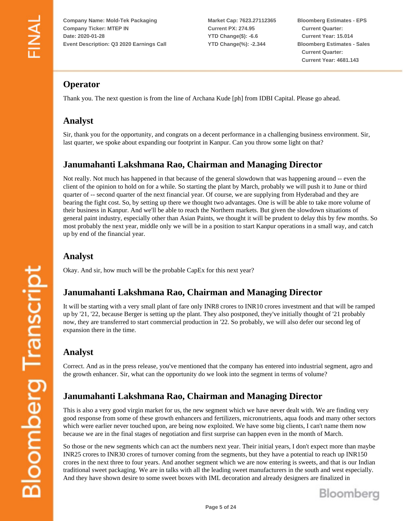**Market Cap: 7623.27112365 Current PX: 274.95 YTD Change(\$): -6.6 YTD Change(%): -2.344**

**Bloomberg Estimates - EPS Current Quarter: Current Year: 15.014 Bloomberg Estimates - Sales Current Quarter: Current Year: 4681.143**

# **Operator**

Thank you. The next question is from the line of Archana Kude [ph] from IDBI Capital. Please go ahead.

#### **Analyst**

Sir, thank you for the opportunity, and congrats on a decent performance in a challenging business environment. Sir, last quarter, we spoke about expanding our footprint in Kanpur. Can you throw some light on that?

#### **Janumahanti Lakshmana Rao, Chairman and Managing Director**

Not really. Not much has happened in that because of the general slowdown that was happening around -- even the client of the opinion to hold on for a while. So starting the plant by March, probably we will push it to June or third quarter of -- second quarter of the next financial year. Of course, we are supplying from Hyderabad and they are bearing the fight cost. So, by setting up there we thought two advantages. One is will be able to take more volume of their business in Kanpur. And we'll be able to reach the Northern markets. But given the slowdown situations of general paint industry, especially other than Asian Paints, we thought it will be prudent to delay this by few months. So most probably the next year, middle only we will be in a position to start Kanpur operations in a small way, and catch up by end of the financial year.

#### **Analyst**

Okay. And sir, how much will be the probable CapEx for this next year?

## **Janumahanti Lakshmana Rao, Chairman and Managing Director**

It will be starting with a very small plant of fare only INR8 crores to INR10 crores investment and that will be ramped up by '21, '22, because Berger is setting up the plant. They also postponed, they've initially thought of '21 probably now, they are transferred to start commercial production in '22. So probably, we will also defer our second leg of expansion there in the time.

# **Analyst**

Correct. And as in the press release, you've mentioned that the company has entered into industrial segment, agro and the growth enhancer. Sir, what can the opportunity do we look into the segment in terms of volume?

# **Janumahanti Lakshmana Rao, Chairman and Managing Director**

This is also a very good virgin market for us, the new segment which we have never dealt with. We are finding very good response from some of these growth enhancers and fertilizers, micronutrients, aqua foods and many other sectors which were earlier never touched upon, are being now exploited. We have some big clients, I can't name them now because we are in the final stages of negotiation and first surprise can happen even in the month of March.

So those or the new segments which can act the numbers next year. Their initial years, I don't expect more than maybe INR25 crores to INR30 crores of turnover coming from the segments, but they have a potential to reach up INR150 crores in the next three to four years. And another segment which we are now entering is sweets, and that is our Indian traditional sweet packaging. We are in talks with all the leading sweet manufacturers in the south and west especially. And they have shown desire to some sweet boxes with IML decoration and already designers are finalized in

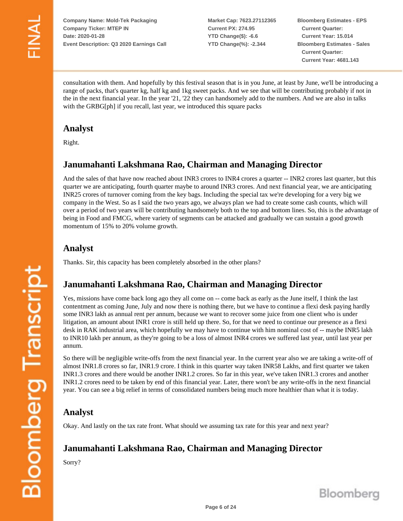**Market Cap: 7623.27112365 Current PX: 274.95 YTD Change(\$): -6.6 YTD Change(%): -2.344**

**Bloomberg Estimates - EPS Current Quarter: Current Year: 15.014 Bloomberg Estimates - Sales Current Quarter: Current Year: 4681.143**

consultation with them. And hopefully by this festival season that is in you June, at least by June, we'll be introducing a range of packs, that's quarter kg, half kg and 1kg sweet packs. And we see that will be contributing probably if not in the in the next financial year. In the year '21, '22 they can handsomely add to the numbers. And we are also in talks with the GRBG[ph] if you recall, last year, we introduced this square packs

#### **Analyst**

Right.

## **Janumahanti Lakshmana Rao, Chairman and Managing Director**

And the sales of that have now reached about INR3 crores to INR4 crores a quarter -- INR2 crores last quarter, but this quarter we are anticipating, fourth quarter maybe to around INR3 crores. And next financial year, we are anticipating INR25 crores of turnover coming from the key bags. Including the special tax we're developing for a very big we company in the West. So as I said the two years ago, we always plan we had to create some cash counts, which will over a period of two years will be contributing handsomely both to the top and bottom lines. So, this is the advantage of being in Food and FMCG, where variety of segments can be attacked and gradually we can sustain a good growth momentum of 15% to 20% volume growth.

#### **Analyst**

Thanks. Sir, this capacity has been completely absorbed in the other plans?

#### **Janumahanti Lakshmana Rao, Chairman and Managing Director**

Yes, missions have come back long ago they all come on -- come back as early as the June itself, I think the last contentment as coming June, July and now there is nothing there, but we have to continue a flexi desk paying hardly some INR3 lakh as annual rent per annum, because we want to recover some juice from one client who is under litigation, an amount about INR1 crore is still held up there. So, for that we need to continue our presence as a flexi desk in RAK industrial area, which hopefully we may have to continue with him nominal cost of -- maybe INR5 lakh to INR10 lakh per annum, as they're going to be a loss of almost INR4 crores we suffered last year, until last year per annum.

So there will be negligible write-offs from the next financial year. In the current year also we are taking a write-off of almost INR1.8 crores so far, INR1.9 crore. I think in this quarter way taken INR58 Lakhs, and first quarter we taken INR1.3 crores and there would be another INR1.2 crores. So far in this year, we've taken INR1.3 crores and another INR1.2 crores need to be taken by end of this financial year. Later, there won't be any write-offs in the next financial year. You can see a big relief in terms of consolidated numbers being much more healthier than what it is today.

## **Analyst**

Okay. And lastly on the tax rate front. What should we assuming tax rate for this year and next year?

## **Janumahanti Lakshmana Rao, Chairman and Managing Director**

Sorry?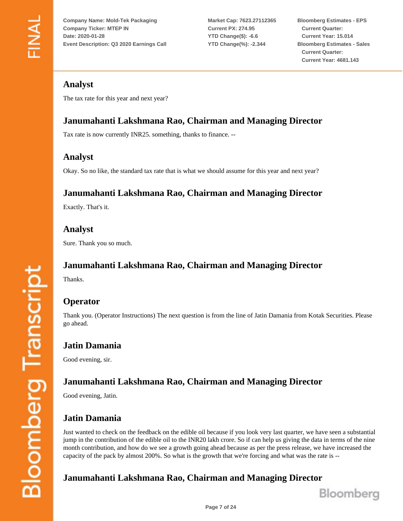**Market Cap: 7623.27112365 Current PX: 274.95 YTD Change(\$): -6.6 YTD Change(%): -2.344**

**Bloomberg Estimates - EPS Current Quarter: Current Year: 15.014 Bloomberg Estimates - Sales Current Quarter: Current Year: 4681.143**

#### **Analyst**

The tax rate for this year and next year?

# **Janumahanti Lakshmana Rao, Chairman and Managing Director**

Tax rate is now currently INR25. something, thanks to finance. --

#### **Analyst**

Okay. So no like, the standard tax rate that is what we should assume for this year and next year?

## **Janumahanti Lakshmana Rao, Chairman and Managing Director**

Exactly. That's it.

**Analyst**

Sure. Thank you so much.

# **Janumahanti Lakshmana Rao, Chairman and Managing Director**

Thanks.

# **Operator**

Thank you. (Operator Instructions) The next question is from the line of Jatin Damania from Kotak Securities. Please go ahead.

#### **Jatin Damania**

Good evening, sir.

# **Janumahanti Lakshmana Rao, Chairman and Managing Director**

Good evening, Jatin.

## **Jatin Damania**

Just wanted to check on the feedback on the edible oil because if you look very last quarter, we have seen a substantial jump in the contribution of the edible oil to the INR20 lakh crore. So if can help us giving the data in terms of the nine month contribution, and how do we see a growth going ahead because as per the press release, we have increased the capacity of the pack by almost 200%. So what is the growth that we're forcing and what was the rate is --

## **Janumahanti Lakshmana Rao, Chairman and Managing Director**

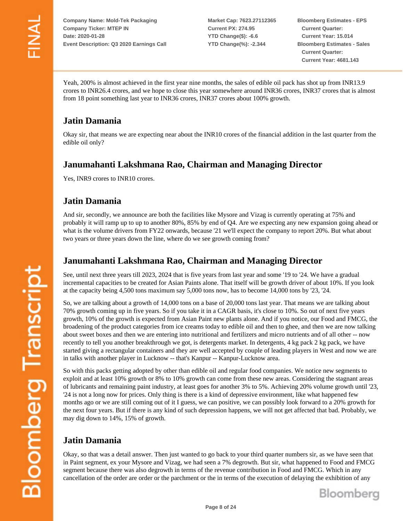**Market Cap: 7623.27112365 Current PX: 274.95 YTD Change(\$): -6.6 YTD Change(%): -2.344**

**Bloomberg Estimates - EPS Current Quarter: Current Year: 15.014 Bloomberg Estimates - Sales Current Quarter: Current Year: 4681.143**

Yeah, 200% is almost achieved in the first year nine months, the sales of edible oil pack has shot up from INR13.9 crores to INR26.4 crores, and we hope to close this year somewhere around INR36 crores, INR37 crores that is almost from 18 point something last year to INR36 crores, INR37 crores about 100% growth.

# **Jatin Damania**

Okay sir, that means we are expecting near about the INR10 crores of the financial addition in the last quarter from the edible oil only?

## **Janumahanti Lakshmana Rao, Chairman and Managing Director**

Yes, INR9 crores to INR10 crores.

## **Jatin Damania**

And sir, secondly, we announce are both the facilities like Mysore and Vizag is currently operating at 75% and probably it will ramp up to up to another 80%, 85% by end of Q4. Are we expecting any new expansion going ahead or what is the volume drivers from FY22 onwards, because '21 we'll expect the company to report 20%. But what about two years or three years down the line, where do we see growth coming from?

#### **Janumahanti Lakshmana Rao, Chairman and Managing Director**

See, until next three years till 2023, 2024 that is five years from last year and some '19 to '24. We have a gradual incremental capacities to be created for Asian Paints alone. That itself will be growth driver of about 10%. If you look at the capacity being 4,500 tons maximum say 5,000 tons now, has to become 14,000 tons by '23, '24.

So, we are talking about a growth of 14,000 tons on a base of 20,000 tons last year. That means we are talking about 70% growth coming up in five years. So if you take it in a CAGR basis, it's close to 10%. So out of next five years growth, 10% of the growth is expected from Asian Paint new plants alone. And if you notice, our Food and FMCG, the broadening of the product categories from ice creams today to edible oil and then to ghee, and then we are now talking about sweet boxes and then we are entering into nutritional and fertilizers and micro nutrients and of all other -- now recently to tell you another breakthrough we got, is detergents market. In detergents, 4 kg pack 2 kg pack, we have started giving a rectangular containers and they are well accepted by couple of leading players in West and now we are in talks with another player in Lucknow -- that's Kanpur -- Kanpur-Lucknow area.

So with this packs getting adopted by other than edible oil and regular food companies. We notice new segments to exploit and at least 10% growth or 8% to 10% growth can come from these new areas. Considering the stagnant areas of lubricants and remaining paint industry, at least goes for another 3% to 5%. Achieving 20% volume growth until '23, '24 is not a long now for prices. Only thing is there is a kind of depressive environment, like what happened few months ago or we are still coming out of it I guess, we can positive, we can possibly look forward to a 20% growth for the next four years. But if there is any kind of such depression happens, we will not get affected that bad. Probably, we may dig down to 14%, 15% of growth.

# **Jatin Damania**

Okay, so that was a detail answer. Then just wanted to go back to your third quarter numbers sir, as we have seen that in Paint segment, ex your Mysore and Vizag, we had seen a 7% degrowth. But sir, what happened to Food and FMCG segment because there was also degrowth in terms of the revenue contribution in Food and FMCG. Which in any cancellation of the order are order or the parchment or the in terms of the execution of delaying the exhibition of any

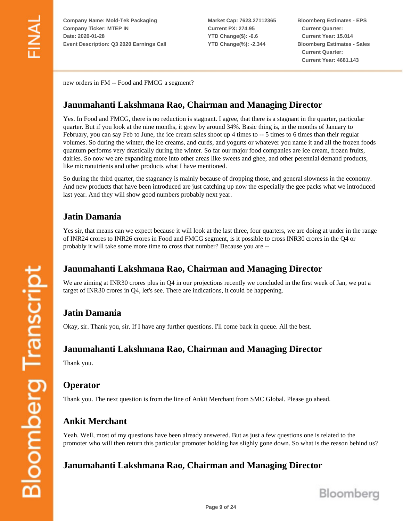**Market Cap: 7623.27112365 Current PX: 274.95 YTD Change(\$): -6.6 YTD Change(%): -2.344**

**Bloomberg Estimates - EPS Current Quarter: Current Year: 15.014 Bloomberg Estimates - Sales Current Quarter: Current Year: 4681.143**

new orders in FM -- Food and FMCG a segment?

#### **Janumahanti Lakshmana Rao, Chairman and Managing Director**

Yes. In Food and FMCG, there is no reduction is stagnant. I agree, that there is a stagnant in the quarter, particular quarter. But if you look at the nine months, it grew by around 34%. Basic thing is, in the months of January to February, you can say Feb to June, the ice cream sales shoot up 4 times to  $-5$  times to 6 times than their regular volumes. So during the winter, the ice creams, and curds, and yogurts or whatever you name it and all the frozen foods quantum performs very drastically during the winter. So far our major food companies are ice cream, frozen fruits, dairies. So now we are expanding more into other areas like sweets and ghee, and other perennial demand products, like micronutrients and other products what I have mentioned.

So during the third quarter, the stagnancy is mainly because of dropping those, and general slowness in the economy. And new products that have been introduced are just catching up now the especially the gee packs what we introduced last year. And they will show good numbers probably next year.

## **Jatin Damania**

Yes sir, that means can we expect because it will look at the last three, four quarters, we are doing at under in the range of INR24 crores to INR26 crores in Food and FMCG segment, is it possible to cross INR30 crores in the Q4 or probably it will take some more time to cross that number? Because you are --

## **Janumahanti Lakshmana Rao, Chairman and Managing Director**

We are aiming at INR30 crores plus in Q4 in our projections recently we concluded in the first week of Jan, we put a target of INR30 crores in Q4, let's see. There are indications, it could be happening.

## **Jatin Damania**

Okay, sir. Thank you, sir. If I have any further questions. I'll come back in queue. All the best.

## **Janumahanti Lakshmana Rao, Chairman and Managing Director**

Thank you.

## **Operator**

Thank you. The next question is from the line of Ankit Merchant from SMC Global. Please go ahead.

# **Ankit Merchant**

Yeah. Well, most of my questions have been already answered. But as just a few questions one is related to the promoter who will then return this particular promoter holding has slighly gone down. So what is the reason behind us?

## **Janumahanti Lakshmana Rao, Chairman and Managing Director**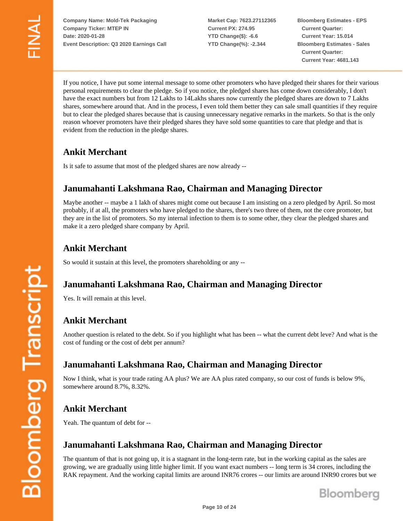**Market Cap: 7623.27112365 Current PX: 274.95 YTD Change(\$): -6.6 YTD Change(%): -2.344**

**Bloomberg Estimates - EPS Current Quarter: Current Year: 15.014 Bloomberg Estimates - Sales Current Quarter: Current Year: 4681.143**

If you notice, I have put some internal message to some other promoters who have pledged their shares for their various personal requirements to clear the pledge. So if you notice, the pledged shares has come down considerably, I don't have the exact numbers but from 12 Lakhs to 14Lakhs shares now currently the pledged shares are down to 7 Lakhs shares, somewhere around that. And in the process, I even told them better they can sale small quantities if they require but to clear the pledged shares because that is causing unnecessary negative remarks in the markets. So that is the only reason whoever promoters have their pledged shares they have sold some quantities to care that pledge and that is evident from the reduction in the pledge shares.

# **Ankit Merchant**

Is it safe to assume that most of the pledged shares are now already --

## **Janumahanti Lakshmana Rao, Chairman and Managing Director**

Maybe another -- maybe a 1 lakh of shares might come out because I am insisting on a zero pledged by April. So most probably, if at all, the promoters who have pledged to the shares, there's two three of them, not the core promoter, but they are in the list of promoters. So my internal infection to them is to some other, they clear the pledged shares and make it a zero pledged share company by April.

## **Ankit Merchant**

So would it sustain at this level, the promoters shareholding or any --

#### **Janumahanti Lakshmana Rao, Chairman and Managing Director**

Yes. It will remain at this level.

## **Ankit Merchant**

Another question is related to the debt. So if you highlight what has been -- what the current debt leve? And what is the cost of funding or the cost of debt per annum?

#### **Janumahanti Lakshmana Rao, Chairman and Managing Director**

Now I think, what is your trade rating AA plus? We are AA plus rated company, so our cost of funds is below 9%, somewhere around 8.7%, 8.32%.

## **Ankit Merchant**

Yeah. The quantum of debt for --

## **Janumahanti Lakshmana Rao, Chairman and Managing Director**

The quantum of that is not going up, it is a stagnant in the long-term rate, but in the working capital as the sales are growing, we are gradually using little higher limit. If you want exact numbers -- long term is 34 crores, including the RAK repayment. And the working capital limits are around INR76 crores -- our limits are around INR90 crores but we

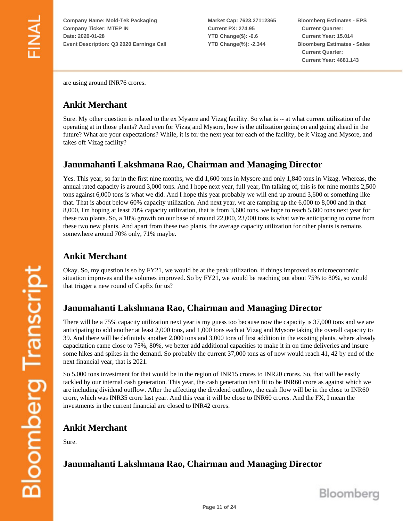**Market Cap: 7623.27112365 Current PX: 274.95 YTD Change(\$): -6.6 YTD Change(%): -2.344**

**Bloomberg Estimates - EPS Current Quarter: Current Year: 15.014 Bloomberg Estimates - Sales Current Quarter: Current Year: 4681.143**

are using around INR76 crores.

#### **Ankit Merchant**

Sure. My other question is related to the ex Mysore and Vizag facility. So what is -- at what current utilization of the operating at in those plants? And even for Vizag and Mysore, how is the utilization going on and going ahead in the future? What are your expectations? While, it is for the next year for each of the facility, be it Vizag and Mysore, and takes off Vizag facility?

#### **Janumahanti Lakshmana Rao, Chairman and Managing Director**

Yes. This year, so far in the first nine months, we did 1,600 tons in Mysore and only 1,840 tons in Vizag. Whereas, the annual rated capacity is around 3,000 tons. And I hope next year, full year, I'm talking of, this is for nine months 2,500 tons against 6,000 tons is what we did. And I hope this year probably we will end up around 3,600 or something like that. That is about below 60% capacity utilization. And next year, we are ramping up the 6,000 to 8,000 and in that 8,000, I'm hoping at least 70% capacity utilization, that is from 3,600 tons, we hope to reach 5,600 tons next year for these two plants. So, a 10% growth on our base of around 22,000, 23,000 tons is what we're anticipating to come from these two new plants. And apart from these two plants, the average capacity utilization for other plants is remains somewhere around 70% only, 71% maybe.

## **Ankit Merchant**

Okay. So, my question is so by FY21, we would be at the peak utilization, if things improved as microeconomic situation improves and the volumes improved. So by FY21, we would be reaching out about 75% to 80%, so would that trigger a new round of CapEx for us?

## **Janumahanti Lakshmana Rao, Chairman and Managing Director**

There will be a 75% capacity utilization next year is my guess too because now the capacity is 37,000 tons and we are anticipating to add another at least 2,000 tons, and 1,000 tons each at Vizag and Mysore taking the overall capacity to 39. And there will be definitely another 2,000 tons and 3,000 tons of first addition in the existing plants, where already capacitation came close to 75%, 80%, we better add additional capacities to make it in on time deliveries and insure some hikes and spikes in the demand. So probably the current 37,000 tons as of now would reach 41, 42 by end of the next financial year, that is 2021.

So 5,000 tons investment for that would be in the region of INR15 crores to INR20 crores. So, that will be easily tackled by our internal cash generation. This year, the cash generation isn't fit to be INR60 crore as against which we are including dividend outflow. After the affecting the dividend outflow, the cash flow will be in the close to INR60 crore, which was INR35 crore last year. And this year it will be close to INR60 crores. And the FX, I mean the investments in the current financial are closed to INR42 crores.

#### **Ankit Merchant**

Sure.

# **Janumahanti Lakshmana Rao, Chairman and Managing Director**

**Bloomberg Transcript**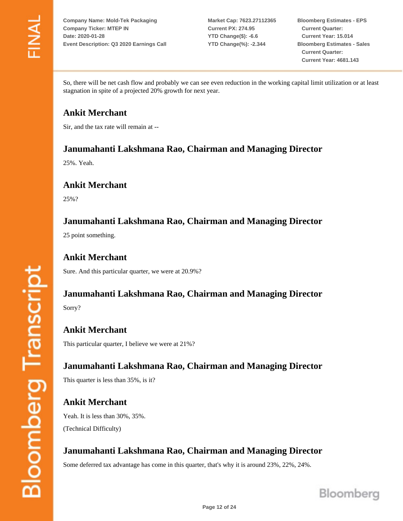**Market Cap: 7623.27112365 Current PX: 274.95 YTD Change(\$): -6.6 YTD Change(%): -2.344**

**Bloomberg Estimates - EPS Current Quarter: Current Year: 15.014 Bloomberg Estimates - Sales Current Quarter: Current Year: 4681.143**

So, there will be net cash flow and probably we can see even reduction in the working capital limit utilization or at least stagnation in spite of a projected 20% growth for next year.

## **Ankit Merchant**

Sir, and the tax rate will remain at --

#### **Janumahanti Lakshmana Rao, Chairman and Managing Director**

25%. Yeah.

#### **Ankit Merchant**

25%?

#### **Janumahanti Lakshmana Rao, Chairman and Managing Director**

25 point something.

#### **Ankit Merchant**

Sure. And this particular quarter, we were at 20.9%?

# **Janumahanti Lakshmana Rao, Chairman and Managing Director**

Sorry?

**Ankit Merchant** This particular quarter, I believe we were at 21%?

**Janumahanti Lakshmana Rao, Chairman and Managing Director** This quarter is less than 35%, is it?

**Ankit Merchant** Yeah. It is less than 30%, 35%. (Technical Difficulty)

# **Janumahanti Lakshmana Rao, Chairman and Managing Director**

Some deferred tax advantage has come in this quarter, that's why it is around 23%, 22%, 24%.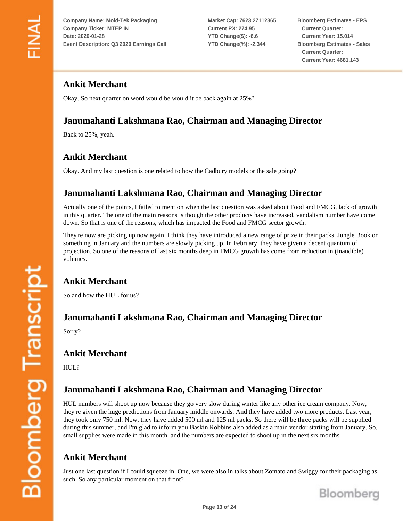**Market Cap: 7623.27112365 Current PX: 274.95 YTD Change(\$): -6.6 YTD Change(%): -2.344**

**Bloomberg Estimates - EPS Current Quarter: Current Year: 15.014 Bloomberg Estimates - Sales Current Quarter: Current Year: 4681.143**

## **Ankit Merchant**

Okay. So next quarter on word would be would it be back again at 25%?

# **Janumahanti Lakshmana Rao, Chairman and Managing Director**

Back to 25%, yeah.

# **Ankit Merchant**

Okay. And my last question is one related to how the Cadbury models or the sale going?

## **Janumahanti Lakshmana Rao, Chairman and Managing Director**

Actually one of the points, I failed to mention when the last question was asked about Food and FMCG, lack of growth in this quarter. The one of the main reasons is though the other products have increased, vandalism number have come down. So that is one of the reasons, which has impacted the Food and FMCG sector growth.

They're now are picking up now again. I think they have introduced a new range of prize in their packs, Jungle Book or something in January and the numbers are slowly picking up. In February, they have given a decent quantum of projection. So one of the reasons of last six months deep in FMCG growth has come from reduction in (inaudible) volumes.

## **Ankit Merchant**

So and how the HUL for us?

#### **Janumahanti Lakshmana Rao, Chairman and Managing Director**

Sorry?

#### **Ankit Merchant**

HUL?

## **Janumahanti Lakshmana Rao, Chairman and Managing Director**

HUL numbers will shoot up now because they go very slow during winter like any other ice cream company. Now, they're given the huge predictions from January middle onwards. And they have added two more products. Last year, they took only 750 ml. Now, they have added 500 ml and 125 ml packs. So there will be three packs will be supplied during this summer, and I'm glad to inform you Baskin Robbins also added as a main vendor starting from January. So, small supplies were made in this month, and the numbers are expected to shoot up in the next six months.

## **Ankit Merchant**

Just one last question if I could squeeze in. One, we were also in talks about Zomato and Swiggy for their packaging as such. So any particular moment on that front?

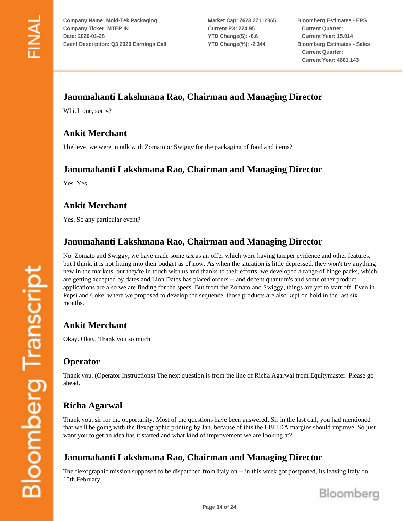**Market Cap: 7623.27112365 Current PX: 274.95 YTD Change(\$): -6.6 YTD Change(%): -2.344**

**Bloomberg Estimates - EPS Current Quarter: Current Year: 15.014 Bloomberg Estimates - Sales Current Quarter: Current Year: 4681.143**

## **Janumahanti Lakshmana Rao, Chairman and Managing Director**

Which one, sorry?

## **Ankit Merchant**

I believe, we were in talk with Zomato or Swiggy for the packaging of food and items?

#### **Janumahanti Lakshmana Rao, Chairman and Managing Director**

Yes. Yes.

## **Ankit Merchant**

Yes. So any particular event?

## **Janumahanti Lakshmana Rao, Chairman and Managing Director**

No. Zomato and Swiggy, we have made some tax as an offer which were having tamper evidence and other features, but I think, it is not fitting into their budget as of now. As when the situation is little depressed, they won't try anything new in the markets, but they're in touch with us and thanks to their efforts, we developed a range of hinge packs, which are getting accepted by dates and Lion Dates has placed orders -- and decent quantum's and some other product applications are also we are finding for the specs. But from the Zomato and Swiggy, things are yet to start off. Even in Pepsi and Coke, where we proposed to develop the sequence, those products are also kept on hold in the last six months.

## **Ankit Merchant**

Okay. Okay. Thank you so much.

#### **Operator**

Thank you. (Operator Instructions) The next question is from the line of Richa Agarwal from Equitymaster. Please go ahead.

## **Richa Agarwal**

Thank you, sir for the opportunity. Most of the questions have been answered. Sir in the last call, you had mentioned that we'll be going with the flexographic printing by Jan, because of this the EBITDA margins should improve. So just want you to get an idea has it started and what kind of improvement we are looking at?

# **Janumahanti Lakshmana Rao, Chairman and Managing Director**

The flexographic mission supposed to be dispatched from Italy on -- in this week got postponed, its leaving Italy on 10th February.

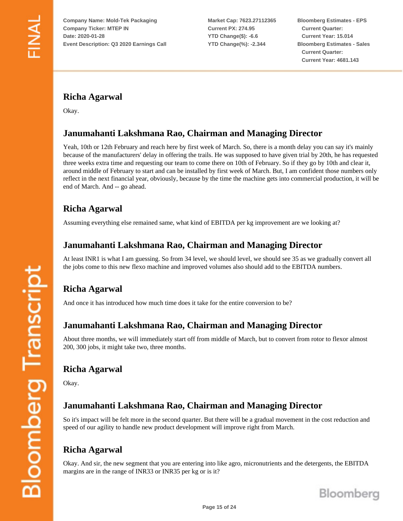**Market Cap: 7623.27112365 Current PX: 274.95 YTD Change(\$): -6.6 YTD Change(%): -2.344**

**Bloomberg Estimates - EPS Current Quarter: Current Year: 15.014 Bloomberg Estimates - Sales Current Quarter: Current Year: 4681.143**

# **Richa Agarwal**

Okay.

## **Janumahanti Lakshmana Rao, Chairman and Managing Director**

Yeah, 10th or 12th February and reach here by first week of March. So, there is a month delay you can say it's mainly because of the manufacturers' delay in offering the trails. He was supposed to have given trial by 20th, he has requested three weeks extra time and requesting our team to come there on 10th of February. So if they go by 10th and clear it, around middle of February to start and can be installed by first week of March. But, I am confident those numbers only reflect in the next financial year, obviously, because by the time the machine gets into commercial production, it will be end of March. And -- go ahead.

## **Richa Agarwal**

Assuming everything else remained same, what kind of EBITDA per kg improvement are we looking at?

#### **Janumahanti Lakshmana Rao, Chairman and Managing Director**

At least INR1 is what I am guessing. So from 34 level, we should level, we should see 35 as we gradually convert all the jobs come to this new flexo machine and improved volumes also should add to the EBITDA numbers.

# **Richa Agarwal**

And once it has introduced how much time does it take for the entire conversion to be?

## **Janumahanti Lakshmana Rao, Chairman and Managing Director**

About three months, we will immediately start off from middle of March, but to convert from rotor to flexor almost 200, 300 jobs, it might take two, three months.

#### **Richa Agarwal**

Okay.

## **Janumahanti Lakshmana Rao, Chairman and Managing Director**

So it's impact will be felt more in the second quarter. But there will be a gradual movement in the cost reduction and speed of our agility to handle new product development will improve right from March.

# **Richa Agarwal**

Okay. And sir, the new segment that you are entering into like agro, micronutrients and the detergents, the EBITDA margins are in the range of INR33 or INR35 per kg or is it?

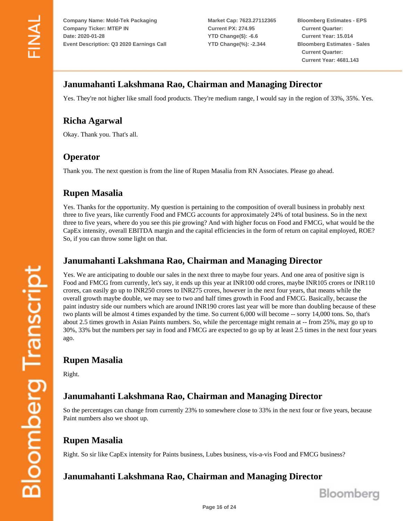**Market Cap: 7623.27112365 Current PX: 274.95 YTD Change(\$): -6.6 YTD Change(%): -2.344**

**Bloomberg Estimates - EPS Current Quarter: Current Year: 15.014 Bloomberg Estimates - Sales Current Quarter: Current Year: 4681.143**

#### **Janumahanti Lakshmana Rao, Chairman and Managing Director**

Yes. They're not higher like small food products. They're medium range, I would say in the region of 33%, 35%. Yes.

## **Richa Agarwal**

Okay. Thank you. That's all.

## **Operator**

Thank you. The next question is from the line of Rupen Masalia from RN Associates. Please go ahead.

## **Rupen Masalia**

Yes. Thanks for the opportunity. My question is pertaining to the composition of overall business in probably next three to five years, like currently Food and FMCG accounts for approximately 24% of total business. So in the next three to five years, where do you see this pie growing? And with higher focus on Food and FMCG, what would be the CapEx intensity, overall EBITDA margin and the capital efficiencies in the form of return on capital employed, ROE? So, if you can throw some light on that.

#### **Janumahanti Lakshmana Rao, Chairman and Managing Director**

Yes. We are anticipating to double our sales in the next three to maybe four years. And one area of positive sign is Food and FMCG from currently, let's say, it ends up this year at INR100 odd crores, maybe INR105 crores or INR110 crores, can easily go up to INR250 crores to INR275 crores, however in the next four years, that means while the overall growth maybe double, we may see to two and half times growth in Food and FMCG. Basically, because the paint industry side our numbers which are around INR190 crores last year will be more than doubling because of these two plants will be almost 4 times expanded by the time. So current 6,000 will become -- sorry 14,000 tons. So, that's about 2.5 times growth in Asian Paints numbers. So, while the percentage might remain at -- from 25%, may go up to 30%, 33% but the numbers per say in food and FMCG are expected to go up by at least 2.5 times in the next four years ago.

#### **Rupen Masalia**

Right.

## **Janumahanti Lakshmana Rao, Chairman and Managing Director**

So the percentages can change from currently 23% to somewhere close to 33% in the next four or five years, because Paint numbers also we shoot up.

## **Rupen Masalia**

Right. So sir like CapEx intensity for Paints business, Lubes business, vis-a-vis Food and FMCG business?

## **Janumahanti Lakshmana Rao, Chairman and Managing Director**



**Bloomberg Transcript**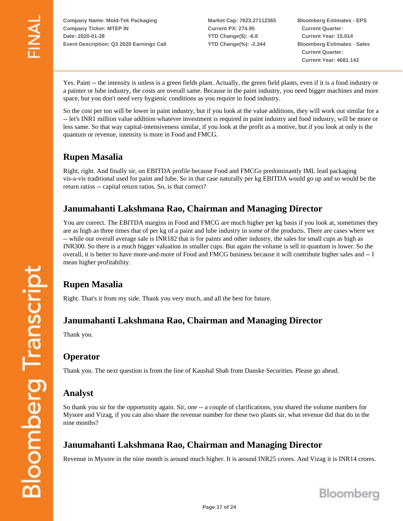**Market Cap: 7623.27112365 Current PX: 274.95 YTD Change(\$): -6.6 YTD Change(%): -2.344**

**Bloomberg Estimates - EPS Current Quarter: Current Year: 15.014 Bloomberg Estimates - Sales Current Quarter: Current Year: 4681.143**

Yes. Paint -- the intensity is unless is a green fields plant. Actually, the green field plants, even if it is a food industry or a painter or lube industry, the costs are overall same. Because in the paint industry, you need bigger machines and more space, but you don't need very hygienic conditions as you require in food industry.

So the cost per ton will be lower in paint industry, but if you look at the value additions, they will work out similar for a -- let's INR1 million value addition whatever investment is required in paint industry and food industry, will be more or less same. So that way capital-intensiveness similar, if you look at the profit as a motive, but if you look at only is the quantum or revenue, intensity is more in Food and FMCG.

## **Rupen Masalia**

Right, right. And finally sir, on EBITDA profile because Food and FMCGs predominantly IML lead packaging vis-a-vis traditional used for paint and lube. So in that case naturally per kg EBITDA would go up and so would be the return ratios -- capital return ratios. So, is that correct?

#### **Janumahanti Lakshmana Rao, Chairman and Managing Director**

You are correct. The EBITDA margins in Food and FMCG are much higher per kg basis if you look at, sometimes they are as high as three times that of per kg of a paint and lube industry in some of the products. There are cases where we -- while our overall average sale is INR182 that is for paints and other industry, the sales for small cups as high as INR300. So there is a much bigger valuation in smaller cups. But again the volume is sell in quantum is lower. So the overall, it is better to have more-and-more of Food and FMCG business because it will contribute higher sales and -- I mean higher profitability.

## **Rupen Masalia**

Right. That's it from my side. Thank you very much, and all the best for future.

#### **Janumahanti Lakshmana Rao, Chairman and Managing Director**

Thank you.

#### **Operator**

Thank you. The next question is from the line of Kaushal Shah from Danske Securities. Please go ahead.

#### **Analyst**

So thank you sir for the opportunity again. Sir, one -- a couple of clarifications, you shared the volume numbers for Mysore and Vizag, if you can also share the revenue number for these two plants sir, what revenue did that do in the nine months?

## **Janumahanti Lakshmana Rao, Chairman and Managing Director**

Revenue in Mysore in the nine month is around much higher. It is around INR25 crores. And Vizag it is INR14 crores.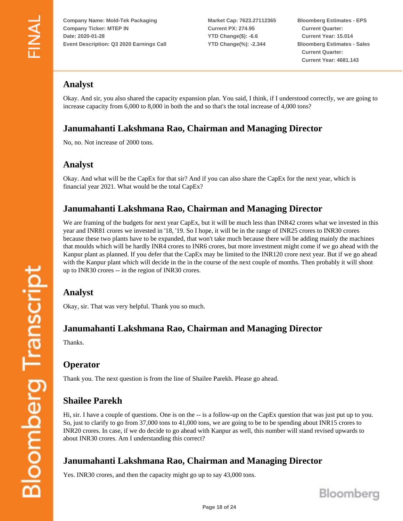**Market Cap: 7623.27112365 Current PX: 274.95 YTD Change(\$): -6.6 YTD Change(%): -2.344**

**Bloomberg Estimates - EPS Current Quarter: Current Year: 15.014 Bloomberg Estimates - Sales Current Quarter: Current Year: 4681.143**

## **Analyst**

Okay. And sir, you also shared the capacity expansion plan. You said, I think, if I understood correctly, we are going to increase capacity from 6,000 to 8,000 in both the and so that's the total increase of 4,000 tons?

## **Janumahanti Lakshmana Rao, Chairman and Managing Director**

No, no. Not increase of 2000 tons.

#### **Analyst**

Okay. And what will be the CapEx for that sir? And if you can also share the CapEx for the next year, which is financial year 2021. What would be the total CapEx?

## **Janumahanti Lakshmana Rao, Chairman and Managing Director**

We are framing of the budgets for next year CapEx, but it will be much less than INR42 crores what we invested in this year and INR81 crores we invested in '18, '19. So I hope, it will be in the range of INR25 crores to INR30 crores because these two plants have to be expanded, that won't take much because there will be adding mainly the machines that moulds which will be hardly INR4 crores to INR6 crores, but more investment might come if we go ahead with the Kanpur plant as planned. If you defer that the CapEx may be limited to the INR120 crore next year. But if we go ahead with the Kanpur plant which will decide in the in the course of the next couple of months. Then probably it will shoot up to INR30 crores -- in the region of INR30 crores.

## **Analyst**

Okay, sir. That was very helpful. Thank you so much.

#### **Janumahanti Lakshmana Rao, Chairman and Managing Director**

Thanks.

## **Operator**

Thank you. The next question is from the line of Shailee Parekh. Please go ahead.

# **Shailee Parekh**

Hi, sir. I have a couple of questions. One is on the -- is a follow-up on the CapEx question that was just put up to you. So, just to clarify to go from 37,000 tons to 41,000 tons, we are going to be to be spending about INR15 crores to INR20 crores. In case, if we do decide to go ahead with Kanpur as well, this number will stand revised upwards to about INR30 crores. Am I understanding this correct?

# **Janumahanti Lakshmana Rao, Chairman and Managing Director**

Yes. INR30 crores, and then the capacity might go up to say 43,000 tons.

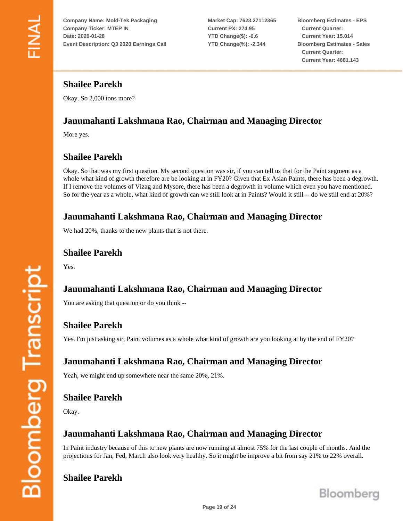**Market Cap: 7623.27112365 Current PX: 274.95 YTD Change(\$): -6.6 YTD Change(%): -2.344**

**Bloomberg Estimates - EPS Current Quarter: Current Year: 15.014 Bloomberg Estimates - Sales Current Quarter: Current Year: 4681.143**

## **Shailee Parekh**

Okay. So 2,000 tons more?

# **Janumahanti Lakshmana Rao, Chairman and Managing Director**

More yes.

# **Shailee Parekh**

Okay. So that was my first question. My second question was sir, if you can tell us that for the Paint segment as a whole what kind of growth therefore are be looking at in FY20? Given that Ex Asian Paints, there has been a degrowth. If I remove the volumes of Vizag and Mysore, there has been a degrowth in volume which even you have mentioned. So for the year as a whole, what kind of growth can we still look at in Paints? Would it still -- do we still end at 20%?

## **Janumahanti Lakshmana Rao, Chairman and Managing Director**

We had 20%, thanks to the new plants that is not there.

#### **Shailee Parekh**

Yes.

# **Janumahanti Lakshmana Rao, Chairman and Managing Director**

You are asking that question or do you think --

# **Shailee Parekh**

Yes. I'm just asking sir, Paint volumes as a whole what kind of growth are you looking at by the end of FY20?

## **Janumahanti Lakshmana Rao, Chairman and Managing Director**

Yeah, we might end up somewhere near the same 20%, 21%.

# **Shailee Parekh**

Okay.

# **Janumahanti Lakshmana Rao, Chairman and Managing Director**

In Paint industry because of this to new plants are now running at almost 75% for the last couple of months. And the projections for Jan, Fed, March also look very healthy. So it might be improve a bit from say 21% to 22% overall.

## **Shailee Parekh**

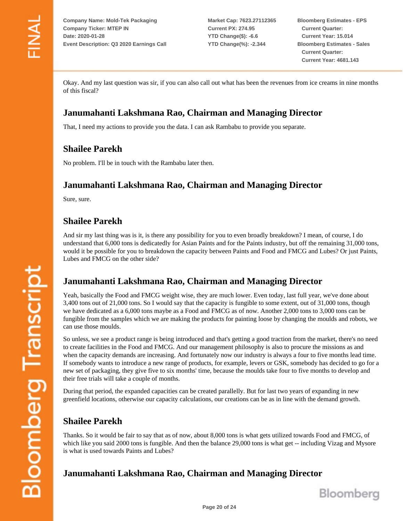**Market Cap: 7623.27112365 Current PX: 274.95 YTD Change(\$): -6.6 YTD Change(%): -2.344**

**Bloomberg Estimates - EPS Current Quarter: Current Year: 15.014 Bloomberg Estimates - Sales Current Quarter: Current Year: 4681.143**

Okay. And my last question was sir, if you can also call out what has been the revenues from ice creams in nine months of this fiscal?

## **Janumahanti Lakshmana Rao, Chairman and Managing Director**

That, I need my actions to provide you the data. I can ask Rambabu to provide you separate.

## **Shailee Parekh**

No problem. I'll be in touch with the Rambabu later then.

#### **Janumahanti Lakshmana Rao, Chairman and Managing Director**

Sure, sure.

## **Shailee Parekh**

And sir my last thing was is it, is there any possibility for you to even broadly breakdown? I mean, of course, I do understand that 6,000 tons is dedicatedly for Asian Paints and for the Paints industry, but off the remaining 31,000 tons, would it be possible for you to breakdown the capacity between Paints and Food and FMCG and Lubes? Or just Paints, Lubes and FMCG on the other side?

## **Janumahanti Lakshmana Rao, Chairman and Managing Director**

Yeah, basically the Food and FMCG weight wise, they are much lower. Even today, last full year, we've done about 3,400 tons out of 21,000 tons. So I would say that the capacity is fungible to some extent, out of 31,000 tons, though we have dedicated as a 6,000 tons maybe as a Food and FMCG as of now. Another 2,000 tons to 3,000 tons can be fungible from the samples which we are making the products for painting loose by changing the moulds and robots, we can use those moulds.

So unless, we see a product range is being introduced and that's getting a good traction from the market, there's no need to create facilities in the Food and FMCG. And our management philosophy is also to procure the missions as and when the capacity demands are increasing. And fortunately now our industry is always a four to five months lead time. If somebody wants to introduce a new range of products, for example, levers or GSK, somebody has decided to go for a new set of packaging, they give five to six months' time, because the moulds take four to five months to develop and their free trials will take a couple of months.

During that period, the expanded capacities can be created parallelly. But for last two years of expanding in new greenfield locations, otherwise our capacity calculations, our creations can be as in line with the demand growth.

## **Shailee Parekh**

Thanks. So it would be fair to say that as of now, about 8,000 tons is what gets utilized towards Food and FMCG, of which like you said 2000 tons is fungible. And then the balance 29,000 tons is what get -- including Vizag and Mysore is what is used towards Paints and Lubes?

# **Janumahanti Lakshmana Rao, Chairman and Managing Director**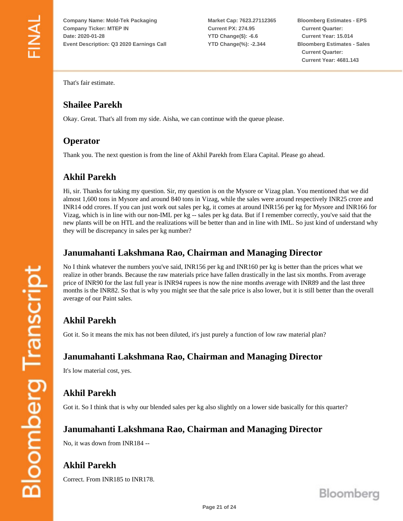**Market Cap: 7623.27112365 Current PX: 274.95 YTD Change(\$): -6.6 YTD Change(%): -2.344**

**Bloomberg Estimates - EPS Current Quarter: Current Year: 15.014 Bloomberg Estimates - Sales Current Quarter: Current Year: 4681.143**

That's fair estimate.

## **Shailee Parekh**

Okay. Great. That's all from my side. Aisha, we can continue with the queue please.

## **Operator**

Thank you. The next question is from the line of Akhil Parekh from Elara Capital. Please go ahead.

## **Akhil Parekh**

Hi, sir. Thanks for taking my question. Sir, my question is on the Mysore or Vizag plan. You mentioned that we did almost 1,600 tons in Mysore and around 840 tons in Vizag, while the sales were around respectively INR25 crore and INR14 odd crores. If you can just work out sales per kg, it comes at around INR156 per kg for Mysore and INR166 for Vizag, which is in line with our non-IML per kg -- sales per kg data. But if I remember correctly, you've said that the new plants will be on HTL and the realizations will be better than and in line with IML. So just kind of understand why they will be discrepancy in sales per kg number?

#### **Janumahanti Lakshmana Rao, Chairman and Managing Director**

No I think whatever the numbers you've said, INR156 per kg and INR160 per kg is better than the prices what we realize in other brands. Because the raw materials price have fallen drastically in the last six months. From average price of INR90 for the last full year is INR94 rupees is now the nine months average with INR89 and the last three months is the INR82. So that is why you might see that the sale price is also lower, but it is still better than the overall average of our Paint sales.

# **Akhil Parekh**

Got it. So it means the mix has not been diluted, it's just purely a function of low raw material plan?

## **Janumahanti Lakshmana Rao, Chairman and Managing Director**

It's low material cost, yes.

# **Akhil Parekh**

Got it. So I think that is why our blended sales per kg also slightly on a lower side basically for this quarter?

## **Janumahanti Lakshmana Rao, Chairman and Managing Director**

No, it was down from INR184 --

# **Akhil Parekh**

Correct. From INR185 to INR178.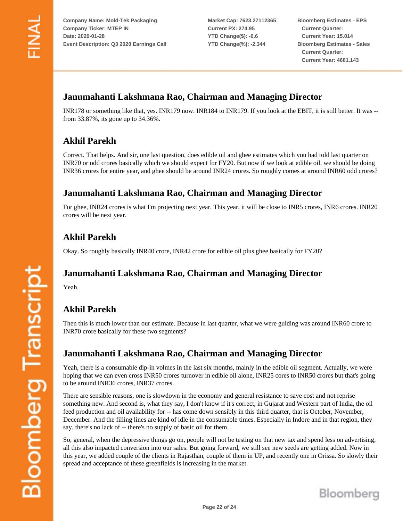**Market Cap: 7623.27112365 Current PX: 274.95 YTD Change(\$): -6.6 YTD Change(%): -2.344**

**Bloomberg Estimates - EPS Current Quarter: Current Year: 15.014 Bloomberg Estimates - Sales Current Quarter: Current Year: 4681.143**

# **Janumahanti Lakshmana Rao, Chairman and Managing Director**

INR178 or something like that, yes. INR179 now. INR184 to INR179. If you look at the EBIT, it is still better. It was - from 33.87%, its gone up to 34.36%.

# **Akhil Parekh**

Correct. That helps. And sir, one last question, does edible oil and ghee estimates which you had told last quarter on INR70 or odd crores basically which we should expect for FY20. But now if we look at edible oil, we should be doing INR36 crores for entire year, and ghee should be around INR24 crores. So roughly comes at around INR60 odd crores?

## **Janumahanti Lakshmana Rao, Chairman and Managing Director**

For ghee, INR24 crores is what I'm projecting next year. This year, it will be close to INR5 crores, INR6 crores. INR20 crores will be next year.

## **Akhil Parekh**

Okay. So roughly basically INR40 crore, INR42 crore for edible oil plus ghee basically for FY20?

## **Janumahanti Lakshmana Rao, Chairman and Managing Director**

Yeah.

# **Akhil Parekh**

Then this is much lower than our estimate. Because in last quarter, what we were guiding was around INR60 crore to INR70 crore basically for these two segments?

## **Janumahanti Lakshmana Rao, Chairman and Managing Director**

Yeah, there is a consumable dip-in volmes in the last six months, mainly in the edible oil segment. Actually, we were hoping that we can even cross INR50 crores turnover in edible oil alone, INR25 cores to INR50 crores but that's going to be around INR36 crores, INR37 crores.

There are sensible reasons, one is slowdown in the economy and general resistance to save cost and not reprise something new. And second is, what they say, I don't know if it's correct, in Gujarat and Western part of India, the oil feed production and oil availability for -- has come down sensibly in this third quarter, that is October, November, December. And the filling lines are kind of idle in the consumable times. Especially in Indore and in that region, they say, there's no lack of -- there's no supply of basic oil for them.

So, general, when the depressive things go on, people will not be testing on that new tax and spend less on advertising, all this also impacted conversion into our sales. But going forward, we still see new seeds are getting added. Now in this year, we added couple of the clients in Rajasthan, couple of them in UP, and recently one in Orissa. So slowly their spread and acceptance of these greenfields is increasing in the market.

**Bloomberg Transcript**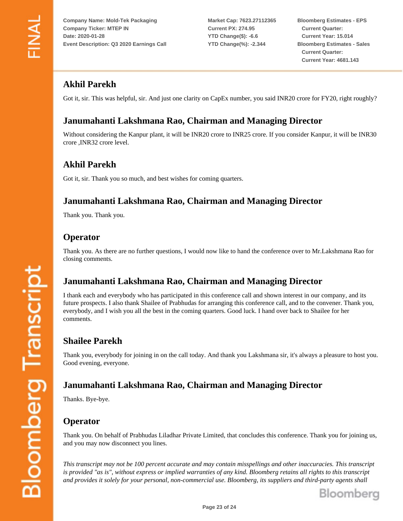**Market Cap: 7623.27112365 Current PX: 274.95 YTD Change(\$): -6.6 YTD Change(%): -2.344**

**Bloomberg Estimates - EPS Current Quarter: Current Year: 15.014 Bloomberg Estimates - Sales Current Quarter: Current Year: 4681.143**

# **Akhil Parekh**

Got it, sir. This was helpful, sir. And just one clarity on CapEx number, you said INR20 crore for FY20, right roughly?

# **Janumahanti Lakshmana Rao, Chairman and Managing Director**

Without considering the Kanpur plant, it will be INR20 crore to INR25 crore. If you consider Kanpur, it will be INR30 crore ,INR32 crore level.

#### **Akhil Parekh**

Got it, sir. Thank you so much, and best wishes for coming quarters.

#### **Janumahanti Lakshmana Rao, Chairman and Managing Director**

Thank you. Thank you.

#### **Operator**

Thank you. As there are no further questions, I would now like to hand the conference over to Mr.Lakshmana Rao for closing comments.

## **Janumahanti Lakshmana Rao, Chairman and Managing Director**

I thank each and everybody who has participated in this conference call and shown interest in our company, and its future prospects. I also thank Shailee of Prabhudas for arranging this conference call, and to the convener. Thank you, everybody, and I wish you all the best in the coming quarters. Good luck. I hand over back to Shailee for her comments.

## **Shailee Parekh**

Thank you, everybody for joining in on the call today. And thank you Lakshmana sir, it's always a pleasure to host you. Good evening, everyone.

## **Janumahanti Lakshmana Rao, Chairman and Managing Director**

Thanks. Bye-bye.

## **Operator**

Thank you. On behalf of Prabhudas Liladhar Private Limited, that concludes this conference. Thank you for joining us, and you may now disconnect you lines.

*This transcript may not be 100 percent accurate and may contain misspellings and other inaccuracies. This transcript is provided "as is", without express or implied warranties of any kind. Bloomberg retains all rights to this transcript and provides it solely for your personal, non-commercial use. Bloomberg, its suppliers and third-party agents shall*